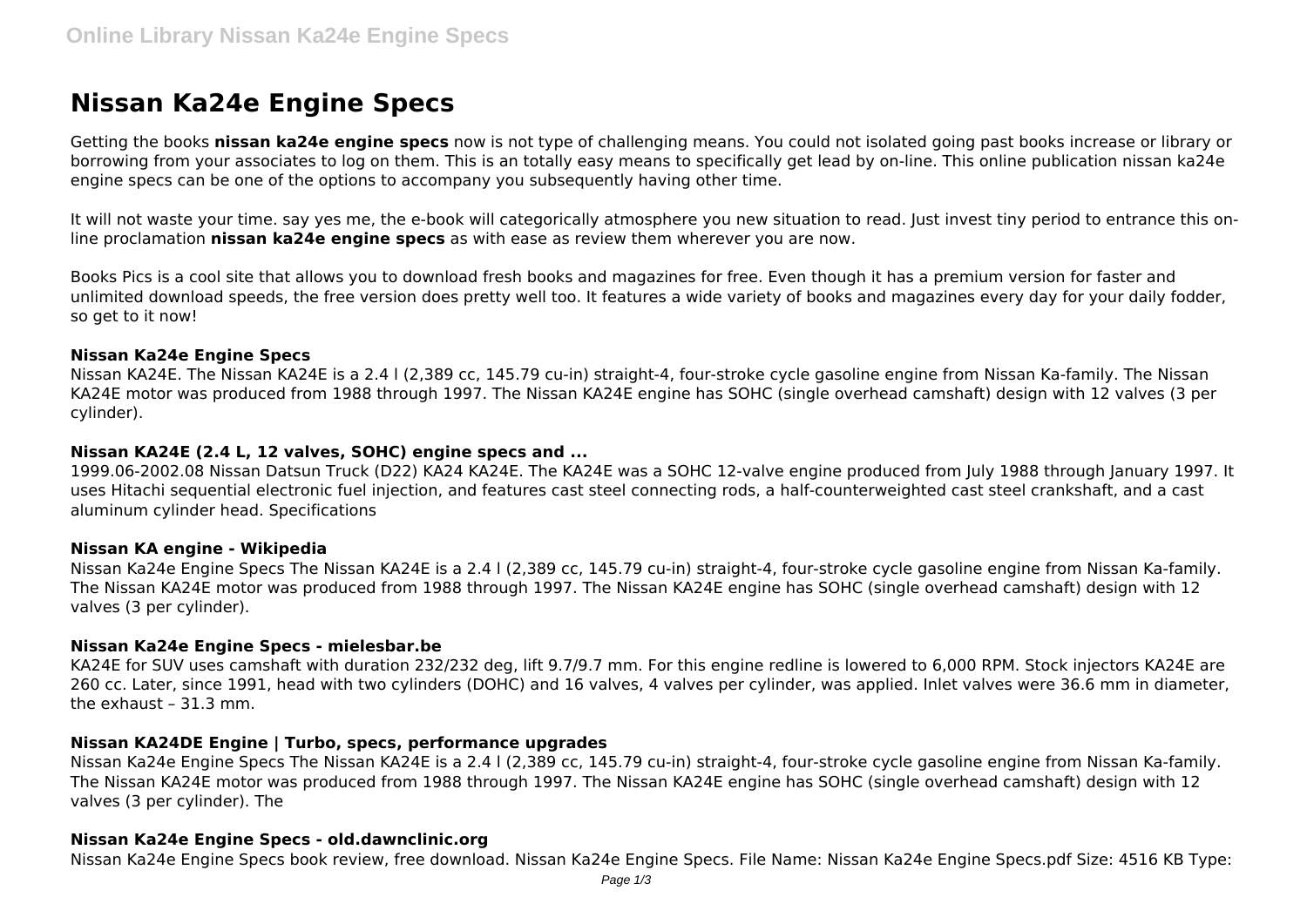# **Nissan Ka24e Engine Specs**

Getting the books **nissan ka24e engine specs** now is not type of challenging means. You could not isolated going past books increase or library or borrowing from your associates to log on them. This is an totally easy means to specifically get lead by on-line. This online publication nissan ka24e engine specs can be one of the options to accompany you subsequently having other time.

It will not waste your time. say yes me, the e-book will categorically atmosphere you new situation to read. Just invest tiny period to entrance this online proclamation **nissan ka24e engine specs** as with ease as review them wherever you are now.

Books Pics is a cool site that allows you to download fresh books and magazines for free. Even though it has a premium version for faster and unlimited download speeds, the free version does pretty well too. It features a wide variety of books and magazines every day for your daily fodder, so get to it now!

## **Nissan Ka24e Engine Specs**

Nissan KA24E. The Nissan KA24E is a 2.4 l (2,389 cc, 145.79 cu-in) straight-4, four-stroke cycle gasoline engine from Nissan Ka-family. The Nissan KA24E motor was produced from 1988 through 1997. The Nissan KA24E engine has SOHC (single overhead camshaft) design with 12 valves (3 per cylinder).

## **Nissan KA24E (2.4 L, 12 valves, SOHC) engine specs and ...**

1999.06-2002.08 Nissan Datsun Truck (D22) KA24 KA24E. The KA24E was a SOHC 12-valve engine produced from July 1988 through January 1997. It uses Hitachi sequential electronic fuel injection, and features cast steel connecting rods, a half-counterweighted cast steel crankshaft, and a cast aluminum cylinder head. Specifications

#### **Nissan KA engine - Wikipedia**

Nissan Ka24e Engine Specs The Nissan KA24E is a 2.4 l (2,389 cc, 145.79 cu-in) straight-4, four-stroke cycle gasoline engine from Nissan Ka-family. The Nissan KA24E motor was produced from 1988 through 1997. The Nissan KA24E engine has SOHC (single overhead camshaft) design with 12 valves (3 per cylinder).

#### **Nissan Ka24e Engine Specs - mielesbar.be**

KA24E for SUV uses camshaft with duration 232/232 deg, lift 9.7/9.7 mm. For this engine redline is lowered to 6,000 RPM. Stock injectors KA24E are 260 cc. Later, since 1991, head with two cylinders (DOHC) and 16 valves, 4 valves per cylinder, was applied. Inlet valves were 36.6 mm in diameter, the exhaust – 31.3 mm.

#### **Nissan KA24DE Engine | Turbo, specs, performance upgrades**

Nissan Ka24e Engine Specs The Nissan KA24E is a 2.4 l (2,389 cc, 145.79 cu-in) straight-4, four-stroke cycle gasoline engine from Nissan Ka-family. The Nissan KA24E motor was produced from 1988 through 1997. The Nissan KA24E engine has SOHC (single overhead camshaft) design with 12 valves (3 per cylinder). The

#### **Nissan Ka24e Engine Specs - old.dawnclinic.org**

Nissan Ka24e Engine Specs book review, free download. Nissan Ka24e Engine Specs. File Name: Nissan Ka24e Engine Specs.pdf Size: 4516 KB Type: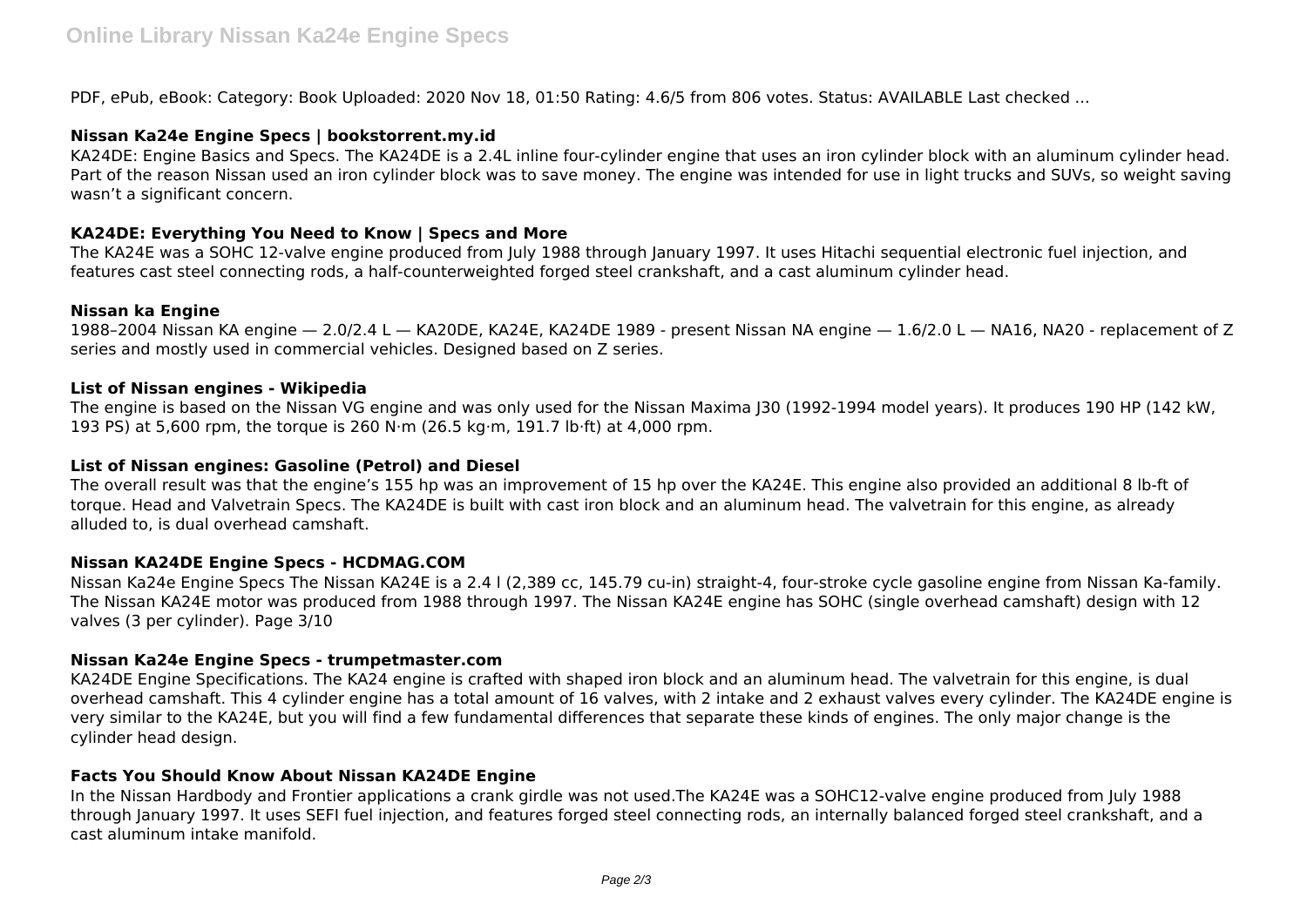PDF, ePub, eBook: Category: Book Uploaded: 2020 Nov 18, 01:50 Rating: 4.6/5 from 806 votes. Status: AVAILABLE Last checked ...

# **Nissan Ka24e Engine Specs | bookstorrent.my.id**

KA24DE: Engine Basics and Specs. The KA24DE is a 2.4L inline four-cylinder engine that uses an iron cylinder block with an aluminum cylinder head. Part of the reason Nissan used an iron cylinder block was to save money. The engine was intended for use in light trucks and SUVs, so weight saving wasn't a significant concern.

# **KA24DE: Everything You Need to Know | Specs and More**

The KA24E was a SOHC 12-valve engine produced from July 1988 through January 1997. It uses Hitachi sequential electronic fuel injection, and features cast steel connecting rods, a half-counterweighted forged steel crankshaft, and a cast aluminum cylinder head.

# **Nissan ka Engine**

1988–2004 Nissan KA engine — 2.0/2.4 L — KA20DE, KA24E, KA24DE 1989 - present Nissan NA engine — 1.6/2.0 L — NA16, NA20 - replacement of Z series and mostly used in commercial vehicles. Designed based on Z series.

# **List of Nissan engines - Wikipedia**

The engine is based on the Nissan VG engine and was only used for the Nissan Maxima J30 (1992-1994 model years). It produces 190 HP (142 kW, 193 PS) at 5,600 rpm, the torque is 260 N⋅m (26.5 kg·m, 191.7 lb⋅ft) at 4,000 rpm.

## **List of Nissan engines: Gasoline (Petrol) and Diesel**

The overall result was that the engine's 155 hp was an improvement of 15 hp over the KA24E. This engine also provided an additional 8 lb-ft of torque. Head and Valvetrain Specs. The KA24DE is built with cast iron block and an aluminum head. The valvetrain for this engine, as already alluded to, is dual overhead camshaft.

# **Nissan KA24DE Engine Specs - HCDMAG.COM**

Nissan Ka24e Engine Specs The Nissan KA24E is a 2.4 l (2,389 cc, 145.79 cu-in) straight-4, four-stroke cycle gasoline engine from Nissan Ka-family. The Nissan KA24E motor was produced from 1988 through 1997. The Nissan KA24E engine has SOHC (single overhead camshaft) design with 12 valves (3 per cylinder). Page 3/10

# **Nissan Ka24e Engine Specs - trumpetmaster.com**

KA24DE Engine Specifications. The KA24 engine is crafted with shaped iron block and an aluminum head. The valvetrain for this engine, is dual overhead camshaft. This 4 cylinder engine has a total amount of 16 valves, with 2 intake and 2 exhaust valves every cylinder. The KA24DE engine is very similar to the KA24E, but you will find a few fundamental differences that separate these kinds of engines. The only major change is the cylinder head design.

#### **Facts You Should Know About Nissan KA24DE Engine**

In the Nissan Hardbody and Frontier applications a crank girdle was not used.The KA24E was a SOHC12-valve engine produced from July 1988 through January 1997. It uses SEFI fuel injection, and features forged steel connecting rods, an internally balanced forged steel crankshaft, and a cast aluminum intake manifold.